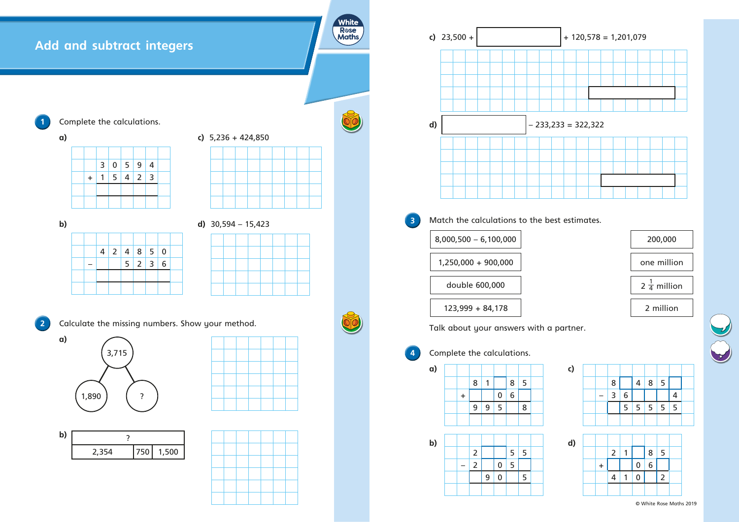# **Add and subtract integers**





| $\mathbf b$ |  |   |                |   |                |                         |   |  |  |  | d) $30,594 - 15,423$ |  |
|-------------|--|---|----------------|---|----------------|-------------------------|---|--|--|--|----------------------|--|
|             |  |   |                |   |                |                         |   |  |  |  |                      |  |
|             |  | 4 | $\overline{2}$ | 4 |                | $8 \mid 5 \mid 0$       |   |  |  |  |                      |  |
|             |  |   |                | 5 | $\overline{2}$ | $\overline{\mathbf{3}}$ | 6 |  |  |  |                      |  |
|             |  |   |                |   |                |                         |   |  |  |  |                      |  |
|             |  |   |                |   |                |                         |   |  |  |  |                      |  |











**2** Calculate the missing numbers. Show your method.



## $33 = 322,322$



### $st$  estimates.





| White<br><b>R</b> ose<br><b>Maths</b> |                         |    | c) $23,500 +$                                                       |           |                |   |                    |   |   |  | $+12$          |
|---------------------------------------|-------------------------|----|---------------------------------------------------------------------|-----------|----------------|---|--------------------|---|---|--|----------------|
|                                       |                         |    |                                                                     |           |                |   |                    |   |   |  |                |
|                                       |                         | d) |                                                                     |           |                |   |                    |   |   |  | $-233,233 = 3$ |
|                                       |                         |    |                                                                     |           |                |   |                    |   |   |  |                |
|                                       |                         |    |                                                                     |           |                |   |                    |   |   |  |                |
|                                       | 3                       |    | Match the calculations to the best estir<br>$8,000,500 - 6,100,000$ |           |                |   |                    |   |   |  |                |
|                                       |                         |    | 1,250,000 + 900,000                                                 |           |                |   |                    |   |   |  |                |
|                                       |                         |    |                                                                     |           |                |   | double 600,000     |   |   |  |                |
|                                       |                         |    | Talk about your answers with a partne                               |           |                |   | $123,999 + 84,178$ |   |   |  |                |
|                                       | $\overline{\mathbf{4}}$ |    | Complete the calculations.                                          |           |                |   |                    |   |   |  |                |
|                                       |                         | a) |                                                                     |           |                |   |                    |   |   |  | c)             |
|                                       |                         |    |                                                                     |           | 8              | 1 | $\boldsymbol{0}$   | 8 | 5 |  |                |
|                                       |                         |    |                                                                     | $\ddot{}$ | 9              | 9 | 5                  | 6 | 8 |  |                |
|                                       |                         |    |                                                                     |           |                |   |                    |   |   |  |                |
|                                       |                         | b) |                                                                     |           | $\overline{2}$ |   |                    | 5 | 5 |  | d)             |
|                                       |                         |    |                                                                     |           | $\overline{2}$ |   | $\mathbf 0$        | 5 |   |  |                |
|                                       |                         |    |                                                                     |           |                | 9 | 0                  |   | 5 |  |                |
|                                       |                         |    |                                                                     |           |                |   |                    |   |   |  |                |



|         | $\overline{2}$ |             | 8 <sup>1</sup> | $5\overline{)}$ |  |
|---------|----------------|-------------|----------------|-----------------|--|
| $\ddag$ |                | $\mathbf 0$ | 6 <sup>1</sup> |                 |  |
|         | $\overline{4}$ | $\bf{0}$    |                | $\overline{2}$  |  |
|         |                |             |                |                 |  |

| c) |  |   |     |           |                   |   |  |
|----|--|---|-----|-----------|-------------------|---|--|
|    |  | 8 |     |           | $4 \mid 8 \mid 5$ |   |  |
|    |  |   | 3 6 |           |                   | 4 |  |
|    |  |   |     | 5 5 5 5 5 |                   |   |  |
|    |  |   |     |           |                   |   |  |



#### partner.